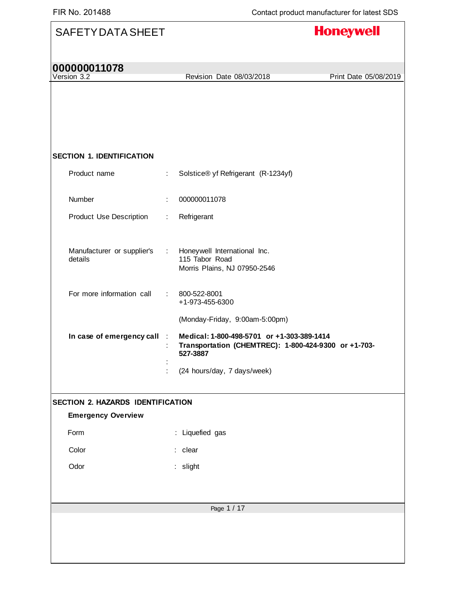| <b>SAFETY DATA SHEET</b>              |    | <b>Honeywell</b>                                                                                               |
|---------------------------------------|----|----------------------------------------------------------------------------------------------------------------|
| 000000011078<br>Version 3.2           |    | Revision Date 08/03/2018<br>Print Date 05/08/2019                                                              |
|                                       |    |                                                                                                                |
|                                       |    |                                                                                                                |
| <b>SECTION 1. IDENTIFICATION</b>      |    |                                                                                                                |
| Product name                          | ÷. | Solstice® yf Refrigerant (R-1234yf)                                                                            |
| Number                                |    | 000000011078                                                                                                   |
| <b>Product Use Description</b>        | ÷. | Refrigerant                                                                                                    |
| Manufacturer or supplier's<br>details | ÷  | Honeywell International Inc.<br>115 Tabor Road<br>Morris Plains, NJ 07950-2546                                 |
| For more information call             | ÷  | 800-522-8001<br>+1-973-455-6300                                                                                |
|                                       |    | (Monday-Friday, 9:00am-5:00pm)                                                                                 |
| In case of emergency call :           |    | Medical: 1-800-498-5701 or +1-303-389-1414<br>Transportation (CHEMTREC): 1-800-424-9300 or +1-703-<br>527-3887 |
|                                       |    | (24 hours/day, 7 days/week)                                                                                    |
| SECTION 2. HAZARDS IDENTIFICATION     |    |                                                                                                                |
| <b>Emergency Overview</b>             |    |                                                                                                                |
| Form                                  |    | : Liquefied gas                                                                                                |
| Color                                 |    | : clear                                                                                                        |
| Odor                                  |    | : slight                                                                                                       |
|                                       |    |                                                                                                                |
|                                       |    | Page 1 / 17                                                                                                    |
|                                       |    |                                                                                                                |
|                                       |    |                                                                                                                |
|                                       |    |                                                                                                                |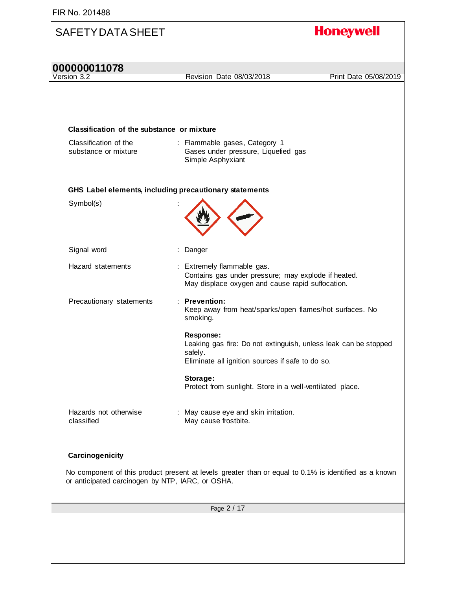| <b>SAFETY DATA SHEET</b>                         |                                                                                                                                             | <b>Honeywell</b>      |
|--------------------------------------------------|---------------------------------------------------------------------------------------------------------------------------------------------|-----------------------|
| 000000011078                                     |                                                                                                                                             |                       |
| Version 3.2                                      | Revision Date 08/03/2018                                                                                                                    | Print Date 05/08/2019 |
| Classification of the substance or mixture       |                                                                                                                                             |                       |
| Classification of the<br>substance or mixture    | : Flammable gases, Category 1<br>Gases under pressure, Liquefied gas<br>Simple Asphyxiant                                                   |                       |
|                                                  | GHS Label elements, including precautionary statements                                                                                      |                       |
| Symbol(s)                                        |                                                                                                                                             |                       |
| Signal word                                      | : Danger                                                                                                                                    |                       |
| Hazard statements                                | : Extremely flammable gas.<br>Contains gas under pressure; may explode if heated.<br>May displace oxygen and cause rapid suffocation.       |                       |
| Precautionary statements                         | : Prevention:<br>Keep away from heat/sparks/open flames/hot surfaces. No<br>smoking.                                                        |                       |
|                                                  | Response:<br>Leaking gas fire: Do not extinguish, unless leak can be stopped<br>safely.<br>Eliminate all ignition sources if safe to do so. |                       |
|                                                  | Storage:<br>Protect from sunlight. Store in a well-ventilated place.                                                                        |                       |
| Hazards not otherwise<br>classified              | : May cause eye and skin irritation.<br>May cause frostbite.                                                                                |                       |
| Carcinogenicity                                  |                                                                                                                                             |                       |
| or anticipated carcinogen by NTP, IARC, or OSHA. | No component of this product present at levels greater than or equal to 0.1% is identified as a known                                       |                       |
|                                                  | Page 2 / 17                                                                                                                                 |                       |
|                                                  |                                                                                                                                             |                       |
|                                                  |                                                                                                                                             |                       |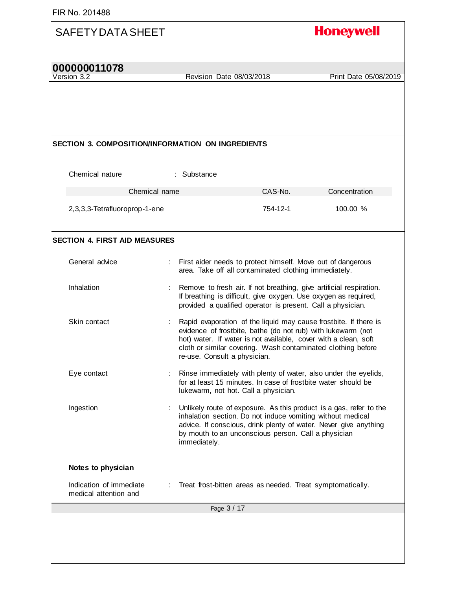| <b>SAFETY DATA SHEET</b>                                 |                              |                                                                                                                                                                                                                                                                     | <b>Honeywell</b>                                                                                                                       |
|----------------------------------------------------------|------------------------------|---------------------------------------------------------------------------------------------------------------------------------------------------------------------------------------------------------------------------------------------------------------------|----------------------------------------------------------------------------------------------------------------------------------------|
| 000000011078<br>Version 3.2                              | Revision Date 08/03/2018     |                                                                                                                                                                                                                                                                     | Print Date 05/08/2019                                                                                                                  |
|                                                          |                              |                                                                                                                                                                                                                                                                     |                                                                                                                                        |
|                                                          |                              |                                                                                                                                                                                                                                                                     |                                                                                                                                        |
| <b>SECTION 3. COMPOSITION/INFORMATION ON INGREDIENTS</b> |                              |                                                                                                                                                                                                                                                                     |                                                                                                                                        |
| Chemical nature                                          | : Substance                  |                                                                                                                                                                                                                                                                     |                                                                                                                                        |
| Chemical name                                            |                              | CAS-No.                                                                                                                                                                                                                                                             | Concentration                                                                                                                          |
| 2,3,3,3-Tetrafluoroprop-1-ene                            |                              | 754-12-1                                                                                                                                                                                                                                                            | 100.00 %                                                                                                                               |
| <b>SECTION 4. FIRST AID MEASURES</b>                     |                              |                                                                                                                                                                                                                                                                     |                                                                                                                                        |
| General advice                                           |                              | First aider needs to protect himself. Move out of dangerous<br>area. Take off all contaminated clothing immediately.                                                                                                                                                |                                                                                                                                        |
| Inhalation                                               |                              | Remove to fresh air. If not breathing, give artificial respiration.<br>If breathing is difficult, give oxygen. Use oxygen as required,<br>provided a qualified operator is present. Call a physician.                                                               |                                                                                                                                        |
| Skin contact                                             | re-use. Consult a physician. | Rapid evaporation of the liquid may cause frostbite. If there is<br>evidence of frostbite, bathe (do not rub) with lukewarm (not<br>hot) water. If water is not available, cover with a clean, soft<br>cloth or similar covering. Wash contaminated clothing before |                                                                                                                                        |
| Eye contact                                              |                              | for at least 15 minutes. In case of frostbite water should be<br>lukewarm, not hot. Call a physician.                                                                                                                                                               | Rinse immediately with plenty of water, also under the eyelids,                                                                        |
| Ingestion                                                | immediately.                 | inhalation section. Do not induce vomiting without medical<br>by mouth to an unconscious person. Call a physician                                                                                                                                                   | Unlikely route of exposure. As this product is a gas, refer to the<br>advice. If conscious, drink plenty of water. Never give anything |
| Notes to physician                                       |                              |                                                                                                                                                                                                                                                                     |                                                                                                                                        |
| Indication of immediate<br>medical attention and         |                              | Treat frost-bitten areas as needed. Treat symptomatically.                                                                                                                                                                                                          |                                                                                                                                        |
|                                                          | Page 3 / 17                  |                                                                                                                                                                                                                                                                     |                                                                                                                                        |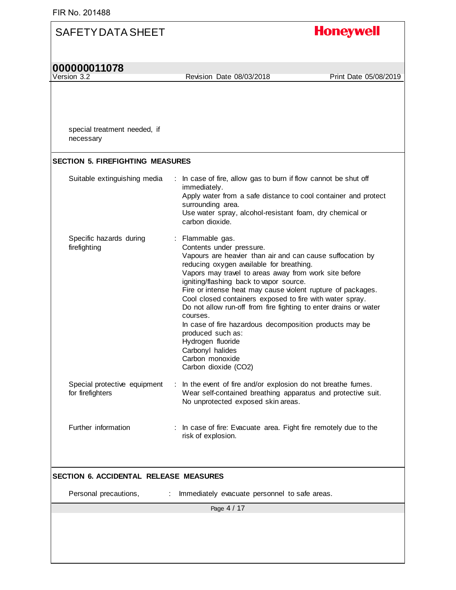| 000000011078<br>Version 3.2<br>Revision Date 08/03/2018<br>special treatment needed, if<br>necessary<br><b>SECTION 5. FIREFIGHTING MEASURES</b><br>In case of fire, allow gas to burn if flow cannot be shut off<br>Suitable extinguishing media<br>immediately.<br>Apply water from a safe distance to cool container and protect<br>surrounding area.<br>Use water spray, alcohol-resistant foam, dry chemical or<br>carbon dioxide.<br>Specific hazards during<br>: Flammable gas.<br>firefighting<br>Contents under pressure.<br>Vapours are heavier than air and can cause suffocation by<br>reducing oxygen available for breathing.<br>Vapors may travel to areas away from work site before<br>igniting/flashing back to vapor source.<br>Fire or intense heat may cause violent rupture of packages.<br>Cool closed containers exposed to fire with water spray.<br>Do not allow run-off from fire fighting to enter drains or water<br>courses.<br>In case of fire hazardous decomposition products may be<br>produced such as:<br>Hydrogen fluoride<br>Carbonyl halides<br>Carbon monoxide<br>Carbon dioxide (CO2)<br>Special protective equipment<br>: In the event of fire and/or explosion do not breathe fumes.<br>Wear self-contained breathing apparatus and protective suit.<br>for firefighters<br>No unprotected exposed skin areas.<br>Further information<br>: In case of fire: Evacuate area. Fight fire remotely due to the | <b>Honeywell</b>      |
|-----------------------------------------------------------------------------------------------------------------------------------------------------------------------------------------------------------------------------------------------------------------------------------------------------------------------------------------------------------------------------------------------------------------------------------------------------------------------------------------------------------------------------------------------------------------------------------------------------------------------------------------------------------------------------------------------------------------------------------------------------------------------------------------------------------------------------------------------------------------------------------------------------------------------------------------------------------------------------------------------------------------------------------------------------------------------------------------------------------------------------------------------------------------------------------------------------------------------------------------------------------------------------------------------------------------------------------------------------------------------------------------------------------------------------------------------------|-----------------------|
|                                                                                                                                                                                                                                                                                                                                                                                                                                                                                                                                                                                                                                                                                                                                                                                                                                                                                                                                                                                                                                                                                                                                                                                                                                                                                                                                                                                                                                                     |                       |
|                                                                                                                                                                                                                                                                                                                                                                                                                                                                                                                                                                                                                                                                                                                                                                                                                                                                                                                                                                                                                                                                                                                                                                                                                                                                                                                                                                                                                                                     | Print Date 05/08/2019 |
|                                                                                                                                                                                                                                                                                                                                                                                                                                                                                                                                                                                                                                                                                                                                                                                                                                                                                                                                                                                                                                                                                                                                                                                                                                                                                                                                                                                                                                                     |                       |
|                                                                                                                                                                                                                                                                                                                                                                                                                                                                                                                                                                                                                                                                                                                                                                                                                                                                                                                                                                                                                                                                                                                                                                                                                                                                                                                                                                                                                                                     |                       |
|                                                                                                                                                                                                                                                                                                                                                                                                                                                                                                                                                                                                                                                                                                                                                                                                                                                                                                                                                                                                                                                                                                                                                                                                                                                                                                                                                                                                                                                     |                       |
|                                                                                                                                                                                                                                                                                                                                                                                                                                                                                                                                                                                                                                                                                                                                                                                                                                                                                                                                                                                                                                                                                                                                                                                                                                                                                                                                                                                                                                                     |                       |
|                                                                                                                                                                                                                                                                                                                                                                                                                                                                                                                                                                                                                                                                                                                                                                                                                                                                                                                                                                                                                                                                                                                                                                                                                                                                                                                                                                                                                                                     |                       |
| risk of explosion.                                                                                                                                                                                                                                                                                                                                                                                                                                                                                                                                                                                                                                                                                                                                                                                                                                                                                                                                                                                                                                                                                                                                                                                                                                                                                                                                                                                                                                  |                       |
| <b>SECTION 6. ACCIDENTAL RELEASE MEASURES</b>                                                                                                                                                                                                                                                                                                                                                                                                                                                                                                                                                                                                                                                                                                                                                                                                                                                                                                                                                                                                                                                                                                                                                                                                                                                                                                                                                                                                       |                       |
| Personal precautions,<br>Immediately evacuate personnel to safe areas.<br>÷                                                                                                                                                                                                                                                                                                                                                                                                                                                                                                                                                                                                                                                                                                                                                                                                                                                                                                                                                                                                                                                                                                                                                                                                                                                                                                                                                                         |                       |
| Page 4 / 17                                                                                                                                                                                                                                                                                                                                                                                                                                                                                                                                                                                                                                                                                                                                                                                                                                                                                                                                                                                                                                                                                                                                                                                                                                                                                                                                                                                                                                         |                       |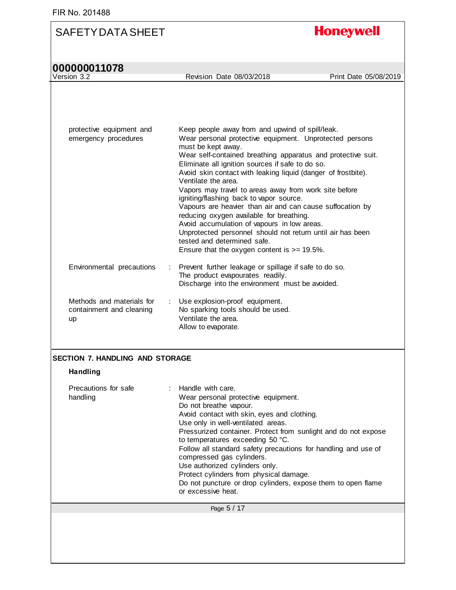# **000000011078**<br>Version 3.2

**Honeywell** 

| protective equipment and<br>emergency procedures                   | Keep people away from and upwind of spill/leak.<br>Wear personal protective equipment. Unprotected persons<br>must be kept away.<br>Wear self-contained breathing apparatus and protective suit.<br>Eliminate all ignition sources if safe to do so.<br>Avoid skin contact with leaking liquid (danger of frostbite).<br>Ventilate the area.<br>Vapors may travel to areas away from work site before<br>igniting/flashing back to vapor source.<br>Vapours are heavier than air and can cause suffocation by<br>reducing oxygen available for breathing.<br>Avoid accumulation of vapours in low areas.<br>Unprotected personnel should not return until air has been<br>tested and determined safe.<br>Ensure that the oxygen content is $\ge$ = 19.5%. |
|--------------------------------------------------------------------|-----------------------------------------------------------------------------------------------------------------------------------------------------------------------------------------------------------------------------------------------------------------------------------------------------------------------------------------------------------------------------------------------------------------------------------------------------------------------------------------------------------------------------------------------------------------------------------------------------------------------------------------------------------------------------------------------------------------------------------------------------------|
| Environmental precautions                                          | : Prevent further leakage or spillage if safe to do so.<br>The product evapourates readily.<br>Discharge into the environment must be avoided.                                                                                                                                                                                                                                                                                                                                                                                                                                                                                                                                                                                                            |
| Methods and materials for<br>containment and cleaning<br><b>up</b> | : Use explosion-proof equipment.<br>No sparking tools should be used.<br>Ventilate the area.<br>Allow to evaporate.                                                                                                                                                                                                                                                                                                                                                                                                                                                                                                                                                                                                                                       |

#### **SECTION 7. HANDLING AND STORAGE**

#### **Handling**

| Precautions for safe<br>handling | $\therefore$ Handle with care.<br>Wear personal protective equipment.<br>Do not breathe vapour.<br>Avoid contact with skin, eyes and clothing.<br>Use only in well-ventilated areas.<br>Pressurized container. Protect from sunlight and do not expose<br>to temperatures exceeding 50 °C.<br>Follow all standard safety precautions for handling and use of<br>compressed gas cylinders.<br>Use authorized cylinders only.<br>Protect cylinders from physical damage.<br>Do not puncture or drop cylinders, expose them to open flame<br>or excessive heat. |
|----------------------------------|--------------------------------------------------------------------------------------------------------------------------------------------------------------------------------------------------------------------------------------------------------------------------------------------------------------------------------------------------------------------------------------------------------------------------------------------------------------------------------------------------------------------------------------------------------------|
|                                  | Page 5 / 17                                                                                                                                                                                                                                                                                                                                                                                                                                                                                                                                                  |
|                                  |                                                                                                                                                                                                                                                                                                                                                                                                                                                                                                                                                              |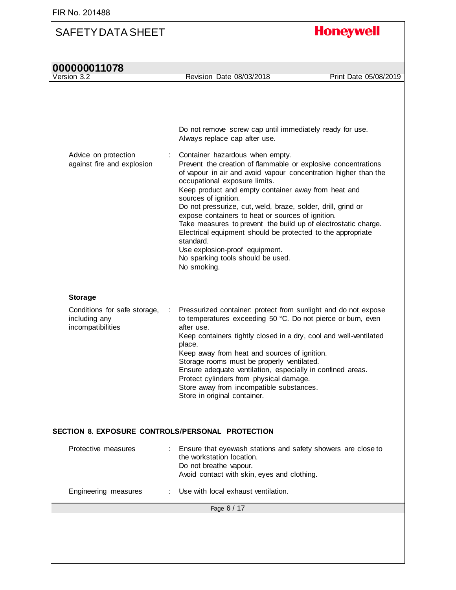| 000000011078                                                       |                                                                                                                                                                                                                                                                                                                                                                                                                                                                                                                                                                                                                                              |                       |
|--------------------------------------------------------------------|----------------------------------------------------------------------------------------------------------------------------------------------------------------------------------------------------------------------------------------------------------------------------------------------------------------------------------------------------------------------------------------------------------------------------------------------------------------------------------------------------------------------------------------------------------------------------------------------------------------------------------------------|-----------------------|
| Version 3.2                                                        | Revision Date 08/03/2018                                                                                                                                                                                                                                                                                                                                                                                                                                                                                                                                                                                                                     | Print Date 05/08/2019 |
|                                                                    | Do not remove screw cap until immediately ready for use.<br>Always replace cap after use.                                                                                                                                                                                                                                                                                                                                                                                                                                                                                                                                                    |                       |
| Advice on protection<br>against fire and explosion                 | Container hazardous when empty.<br>Prevent the creation of flammable or explosive concentrations<br>of vapour in air and avoid vapour concentration higher than the<br>occupational exposure limits.<br>Keep product and empty container away from heat and<br>sources of ignition.<br>Do not pressurize, cut, weld, braze, solder, drill, grind or<br>expose containers to heat or sources of ignition.<br>Take measures to prevent the build up of electrostatic charge.<br>Electrical equipment should be protected to the appropriate<br>standard.<br>Use explosion-proof equipment.<br>No sparking tools should be used.<br>No smoking. |                       |
| <b>Storage</b>                                                     |                                                                                                                                                                                                                                                                                                                                                                                                                                                                                                                                                                                                                                              |                       |
| Conditions for safe storage,<br>including any<br>incompatibilities | Pressurized container: protect from sunlight and do not expose<br>÷<br>to temperatures exceeding 50 °C. Do not pierce or burn, even<br>after use.<br>Keep containers tightly closed in a dry, cool and well-ventilated<br>place.<br>Keep away from heat and sources of ignition.<br>Storage rooms must be properly ventilated.<br>Ensure adequate ventilation, especially in confined areas.<br>Protect cylinders from physical damage.<br>Store away from incompatible substances.<br>Store in original container.                                                                                                                          |                       |
|                                                                    | SECTION 8. EXPOSURE CONTROLS/PERSONAL PROTECTION                                                                                                                                                                                                                                                                                                                                                                                                                                                                                                                                                                                             |                       |
| Protective measures                                                | Ensure that eyewash stations and safety showers are close to<br>the workstation location.<br>Do not breathe vapour.<br>Avoid contact with skin, eyes and clothing.                                                                                                                                                                                                                                                                                                                                                                                                                                                                           |                       |
| Engineering measures                                               | Use with local exhaust ventilation.                                                                                                                                                                                                                                                                                                                                                                                                                                                                                                                                                                                                          |                       |
|                                                                    | Page 6 / 17                                                                                                                                                                                                                                                                                                                                                                                                                                                                                                                                                                                                                                  |                       |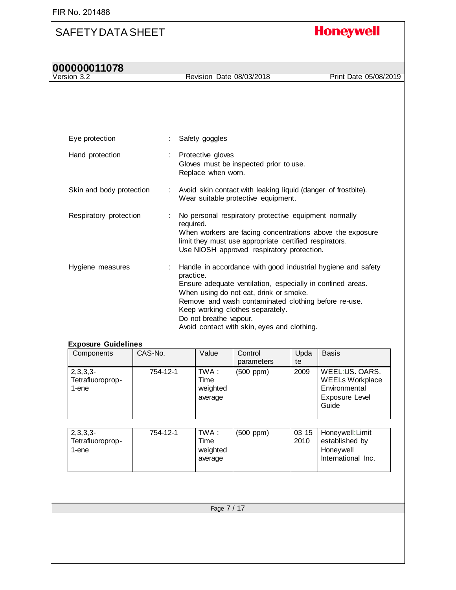# **Honeywell**

| 000000011078             |                                                                                                                                                                                                                                                                                                                                                        |                       |
|--------------------------|--------------------------------------------------------------------------------------------------------------------------------------------------------------------------------------------------------------------------------------------------------------------------------------------------------------------------------------------------------|-----------------------|
| Version 3.2              | Revision Date 08/03/2018                                                                                                                                                                                                                                                                                                                               | Print Date 05/08/2019 |
|                          |                                                                                                                                                                                                                                                                                                                                                        |                       |
| Eye protection           | Safety goggles                                                                                                                                                                                                                                                                                                                                         |                       |
| Hand protection          | : Protective gloves<br>Gloves must be inspected prior to use.<br>Replace when worn.                                                                                                                                                                                                                                                                    |                       |
| Skin and body protection | : Avoid skin contact with leaking liquid (danger of frostbite).<br>Wear suitable protective equipment.                                                                                                                                                                                                                                                 |                       |
| Respiratory protection   | No personal respiratory protective equipment normally<br>required.<br>When workers are facing concentrations above the exposure<br>limit they must use appropriate certified respirators.<br>Use NIOSH approved respiratory protection.                                                                                                                |                       |
| Hygiene measures         | Handle in accordance with good industrial hygiene and safety<br>practice.<br>Ensure adequate ventilation, especially in confined areas.<br>When using do not eat, drink or smoke.<br>Remove and wash contaminated clothing before re-use.<br>Keep working clothes separately.<br>Do not breathe vapour.<br>Avoid contact with skin, eyes and clothing. |                       |

#### **Exposure Guidelines**

| Components                              | CAS-No.  | Value                                | Control        | Upda | <b>Basis</b>                                                                         |
|-----------------------------------------|----------|--------------------------------------|----------------|------|--------------------------------------------------------------------------------------|
|                                         |          |                                      | parameters     | te   |                                                                                      |
| $2,3,3,3-$<br>Tetrafluoroprop-<br>1-ene | 754-12-1 | TWA :<br>Time<br>weighted<br>average | $(500$ ppm $)$ | 2009 | WEEL:US, OARS.<br><b>WEELs Workplace</b><br>Environmental<br>Exposure Level<br>Guide |

| $2,3,3,3-$<br>- Tetrafluoroprop-<br>1-ene | 754-12-1 | TWA :<br>Time<br>weighted<br>average | $(500$ ppm $)$ | 03 15<br>2010 | Honeywell: Limit<br>established by<br>Honeywell<br>International Inc. |
|-------------------------------------------|----------|--------------------------------------|----------------|---------------|-----------------------------------------------------------------------|
|                                           |          |                                      |                |               |                                                                       |

Page 7 / 17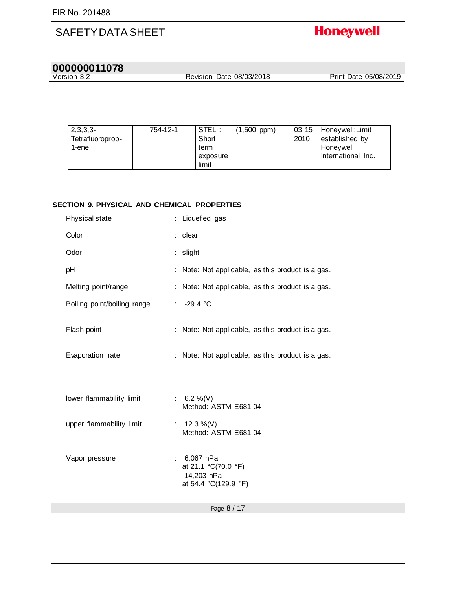### **Honeywell** SAFETY DATA SHEET **000000011078** Revision Date 08/03/2018 Print Date 05/08/2019 2,3,3,3- 754-12-1 STEL :  $(1,500$  ppm $)$  03 15 Honeywell:Limit Tetrafluoroprop-**Short** 2010 established by 1-ene term Honeywell exposure International Inc. limit **SECTION 9. PHYSICAL AND CHEMICAL PROPERTIES**  Physical state : Liquefied gas Color : clear Odor : slight pH : Note: Not applicable, as this product is a gas. Melting point/range : Note: Not applicable, as this product is a gas. Boiling point/boiling range : -29.4 °C Flash point **Example 20** : Note: Not applicable, as this product is a gas. Evaporation rate : Note: Not applicable, as this product is a gas. lower flammability limit :  $6.2 \%$  (V) Method: ASTM E681-04 upper flammability limit  $\qquad$  : 12.3 %(V) Method: ASTM E681-04 Vapor pressure : 6,067 hPa at 21.1 °C(70.0 °F) 14,203 hPa at 54.4 °C(129.9 °F) Page 8 / 17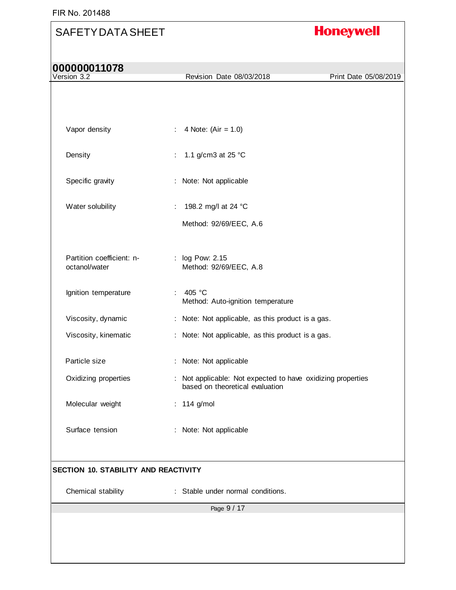# SAFETY DATA SHEET **Honeywell 000000011078** Revision Date 08/03/2018 Print Date 05/08/2019 Vapor density  $\therefore$  4 Note: (Air = 1.0) Density : 1.1 g/cm3 at 25 °C Specific gravity : Note: Not applicable Water solubility : 198.2 mg/l at 24 °C Method: 92/69/EEC, A.6 Partition coefficient: n-: log Pow: 2.15 octanol/water Method: 92/69/EEC, A.8 Ignition temperature : 405 °C Method: Auto-ignition temperature

Viscosity, dynamic : Note: Not applicable, as this product is a gas. Viscosity, kinematic : Note: Not applicable, as this product is a gas. Particle size : Note: Not applicable Oxidizing properties : Not applicable: Not expected to have oxidizing properties based on theoretical evaluation Molecular weight : 114 g/mol

#### **SECTION 10. STABILITY AND REACTIVITY**

Surface tension : Note: Not applicable

Chemical stability : Stable under normal conditions.

Page 9 / 17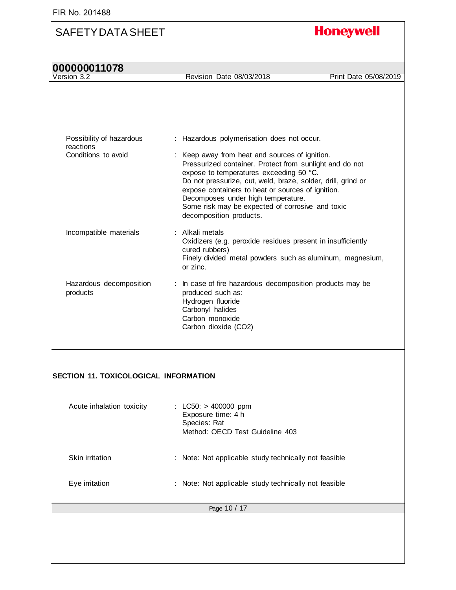# **Honeywell**

**Version 3.2** 

Revision Date 08/03/2018 Print Date 05/08/2019

| Possibility of hazardous<br>reactions        | : Hazardous polymerisation does not occur.                                                                                                                                                                                                                                                                                                                                                     |
|----------------------------------------------|------------------------------------------------------------------------------------------------------------------------------------------------------------------------------------------------------------------------------------------------------------------------------------------------------------------------------------------------------------------------------------------------|
| Conditions to avoid                          | : Keep away from heat and sources of ignition.<br>Pressurized container. Protect from sunlight and do not<br>expose to temperatures exceeding 50 °C.<br>Do not pressurize, cut, weld, braze, solder, drill, grind or<br>expose containers to heat or sources of ignition.<br>Decomposes under high temperature.<br>Some risk may be expected of corrosive and toxic<br>decomposition products. |
| Incompatible materials                       | : Alkali metals<br>Oxidizers (e.g. peroxide residues present in insufficiently<br>cured rubbers)<br>Finely divided metal powders such as aluminum, magnesium,<br>or zinc.                                                                                                                                                                                                                      |
| Hazardous decomposition<br>products          | In case of fire hazardous decomposition products may be<br>÷<br>produced such as:<br>Hydrogen fluoride<br>Carbonyl halides<br>Carbon monoxide<br>Carbon dioxide (CO2)                                                                                                                                                                                                                          |
| <b>SECTION 11. TOXICOLOGICAL INFORMATION</b> |                                                                                                                                                                                                                                                                                                                                                                                                |
| Acute inhalation toxicity                    | : LC50: $> 400000$ ppm<br>Exposure time: 4 h<br>Species: Rat<br>Method: OECD Test Guideline 403                                                                                                                                                                                                                                                                                                |
| Skin irritation                              | Note: Not applicable study technically not feasible                                                                                                                                                                                                                                                                                                                                            |
| Eye irritation                               | Note: Not applicable study technically not feasible                                                                                                                                                                                                                                                                                                                                            |
|                                              | Page 10 / 17                                                                                                                                                                                                                                                                                                                                                                                   |
|                                              |                                                                                                                                                                                                                                                                                                                                                                                                |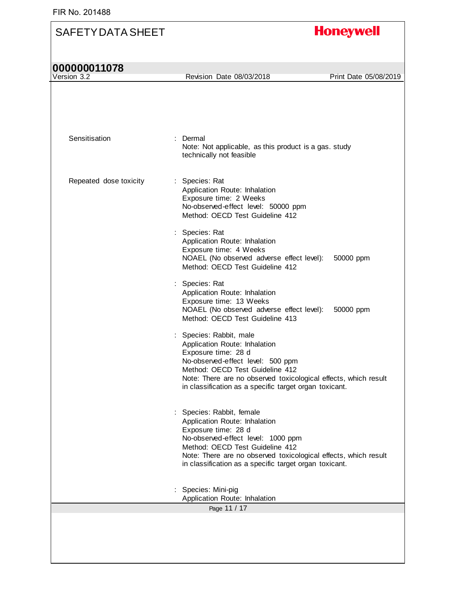# **Honeywell** SAFETY DATA SHEET **000000011078**<br>Version 3.2 Revision Date 08/03/2018 Print Date 05/08/2019 Sensitisation : Dermal Note: Not applicable, as this product is a gas. study

|                        | technically not feasible                                                                                                                                                                                                                                                                |
|------------------------|-----------------------------------------------------------------------------------------------------------------------------------------------------------------------------------------------------------------------------------------------------------------------------------------|
| Repeated dose toxicity | : Species: Rat<br>Application Route: Inhalation<br>Exposure time: 2 Weeks<br>No-observed-effect level: 50000 ppm<br>Method: OECD Test Guideline 412                                                                                                                                     |
|                        | : Species: Rat<br>Application Route: Inhalation<br>Exposure time: 4 Weeks<br>NOAEL (No observed adverse effect level):<br>50000 ppm<br>Method: OECD Test Guideline 412                                                                                                                  |
|                        | : Species: Rat<br>Application Route: Inhalation<br>Exposure time: 13 Weeks<br>NOAEL (No observed adverse effect level):<br>50000 ppm<br>Method: OECD Test Guideline 413                                                                                                                 |
|                        | : Species: Rabbit, male<br>Application Route: Inhalation<br>Exposure time: 28 d<br>No-observed-effect level: 500 ppm<br>Method: OECD Test Guideline 412<br>Note: There are no observed toxicological effects, which result<br>in classification as a specific target organ toxicant.    |
|                        | : Species: Rabbit, female<br>Application Route: Inhalation<br>Exposure time: 28 d<br>No-observed-effect level: 1000 ppm<br>Method: OECD Test Guideline 412<br>Note: There are no observed toxicological effects, which result<br>in classification as a specific target organ toxicant. |
|                        | Species: Mini-pig<br>Application Route: Inhalation                                                                                                                                                                                                                                      |
|                        | Page 11 / 17                                                                                                                                                                                                                                                                            |
|                        |                                                                                                                                                                                                                                                                                         |
|                        |                                                                                                                                                                                                                                                                                         |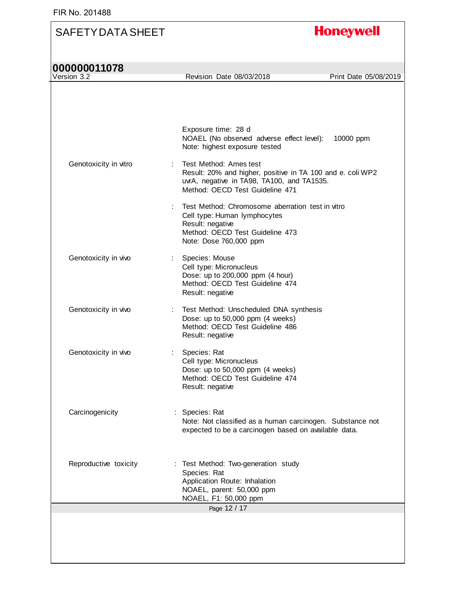| 000000011078<br>Version 3.2 | Revision Date 08/03/2018                                                                                                                                              | Print Date 05/08/2019 |
|-----------------------------|-----------------------------------------------------------------------------------------------------------------------------------------------------------------------|-----------------------|
|                             |                                                                                                                                                                       |                       |
|                             | Exposure time: 28 d<br>NOAEL (No observed adverse effect level):<br>Note: highest exposure tested                                                                     | 10000 ppm             |
| Genotoxicity in vitro       | Test Method: Ames test<br>Result: 20% and higher, positive in TA 100 and e. coli WP2<br>uvrA, negative in TA98, TA100, and TA1535.<br>Method: OECD Test Guideline 471 |                       |
|                             | Test Method: Chromosome aberration test in vitro<br>Cell type: Human lymphocytes<br>Result: negative<br>Method: OECD Test Guideline 473<br>Note: Dose 760,000 ppm     |                       |
| Genotoxicity in vivo        | Species: Mouse<br>Cell type: Micronucleus<br>Dose: up to 200,000 ppm (4 hour)<br>Method: OECD Test Guideline 474<br>Result: negative                                  |                       |
| Genotoxicity in vivo        | Test Method: Unscheduled DNA synthesis<br>Dose: up to 50,000 ppm (4 weeks)<br>Method: OECD Test Guideline 486<br>Result: negative                                     |                       |
| Genotoxicity in vivo        | Species: Rat<br>Cell type: Micronucleus<br>Dose: up to 50,000 ppm (4 weeks)<br>Method: OECD Test Guideline 474<br>Result: negative                                    |                       |
| Carcinogenicity             | Species: Rat<br>Note: Not classified as a human carcinogen. Substance not<br>expected to be a carcinogen based on available data.                                     |                       |
| Reproductive toxicity       | : Test Method: Two-generation study<br>Species: Rat<br>Application Route: Inhalation<br>NOAEL, parent: 50,000 ppm<br>NOAEL, F1: 50,000 ppm                            |                       |
|                             | Page 12 / 17                                                                                                                                                          |                       |
|                             |                                                                                                                                                                       |                       |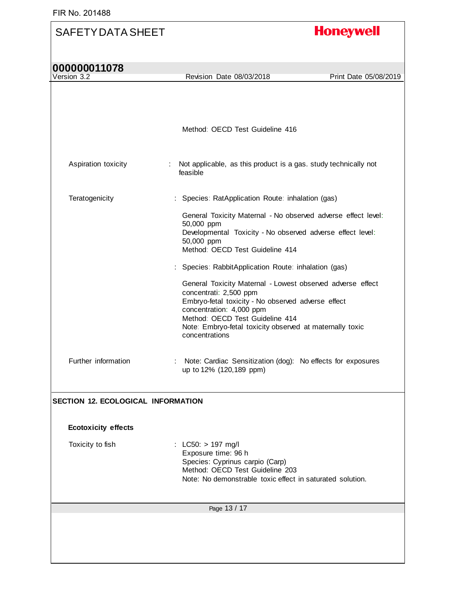| 000000011078<br>Version 3.2        | Revision Date 08/03/2018                                                                                                                                                                                                                                                                | Print Date 05/08/2019 |
|------------------------------------|-----------------------------------------------------------------------------------------------------------------------------------------------------------------------------------------------------------------------------------------------------------------------------------------|-----------------------|
|                                    |                                                                                                                                                                                                                                                                                         |                       |
|                                    | Method: OECD Test Guideline 416                                                                                                                                                                                                                                                         |                       |
| Aspiration toxicity                | : Not applicable, as this product is a gas. study technically not<br>feasible                                                                                                                                                                                                           |                       |
| Teratogenicity                     | Species: RatApplication Route: inhalation (gas)                                                                                                                                                                                                                                         |                       |
|                                    | General Toxicity Maternal - No observed adverse effect level:<br>50,000 ppm<br>Developmental Toxicity - No observed adverse effect level:<br>50,000 ppm<br>Method: OECD Test Guideline 414                                                                                              |                       |
|                                    | Species: RabbitApplication Route: inhalation (gas)                                                                                                                                                                                                                                      |                       |
|                                    | General Toxicity Maternal - Lowest observed adverse effect<br>concentrati: 2,500 ppm<br>Embryo-fetal toxicity - No observed adverse effect<br>concentration: 4,000 ppm<br>Method: OECD Test Guideline 414<br>Note: Embryo-fetal toxicity observed at maternally toxic<br>concentrations |                       |
| Further information                | Note: Cardiac Sensitization (dog): No effects for exposures<br>up to 12% (120,189 ppm)                                                                                                                                                                                                  |                       |
| SECTION 12. ECOLOGICAL INFORMATION |                                                                                                                                                                                                                                                                                         |                       |
| <b>Ecotoxicity effects</b>         |                                                                                                                                                                                                                                                                                         |                       |
| Toxicity to fish                   | $LC50:$ > 197 mg/l<br>Exposure time: 96 h<br>Species: Cyprinus carpio (Carp)<br>Method: OECD Test Guideline 203<br>Note: No demonstrable toxic effect in saturated solution.                                                                                                            |                       |
|                                    | Page 13 / 17                                                                                                                                                                                                                                                                            |                       |
|                                    |                                                                                                                                                                                                                                                                                         |                       |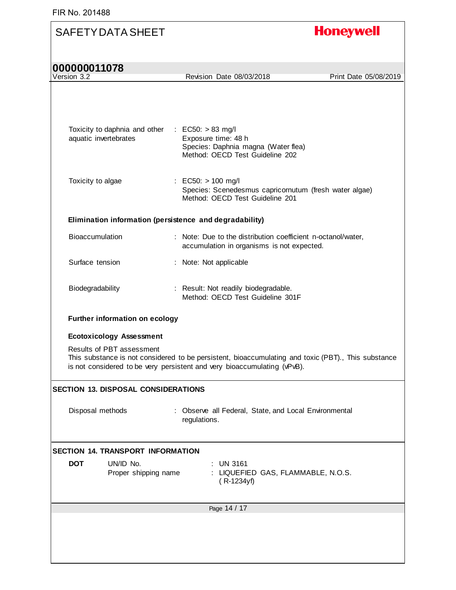| <b>SAFETY DATA SHEET</b>                                |                                                                                                                                                                                 | <b>Honeywell</b>      |
|---------------------------------------------------------|---------------------------------------------------------------------------------------------------------------------------------------------------------------------------------|-----------------------|
| 000000011078<br>Version 3.2                             |                                                                                                                                                                                 | Print Date 05/08/2019 |
|                                                         | Revision Date 08/03/2018                                                                                                                                                        |                       |
|                                                         |                                                                                                                                                                                 |                       |
|                                                         |                                                                                                                                                                                 |                       |
| Toxicity to daphnia and other : EC50: > 83 mg/l         |                                                                                                                                                                                 |                       |
| aquatic invertebrates                                   | Exposure time: 48 h<br>Species: Daphnia magna (Water flea)                                                                                                                      |                       |
|                                                         | Method: OECD Test Guideline 202                                                                                                                                                 |                       |
|                                                         |                                                                                                                                                                                 |                       |
| Toxicity to algae                                       | : EC50: $> 100$ mg/l<br>Species: Scenedesmus capricornutum (fresh water algae)                                                                                                  |                       |
|                                                         | Method: OECD Test Guideline 201                                                                                                                                                 |                       |
| Elimination information (persistence and degradability) |                                                                                                                                                                                 |                       |
| Bioaccumulation                                         | : Note: Due to the distribution coefficient n-octanol/water,                                                                                                                    |                       |
|                                                         | accumulation in organisms is not expected.                                                                                                                                      |                       |
| Surface tension                                         | : Note: Not applicable                                                                                                                                                          |                       |
| Biodegradability                                        | : Result: Not readily biodegradable.                                                                                                                                            |                       |
|                                                         | Method: OECD Test Guideline 301F                                                                                                                                                |                       |
| Further information on ecology                          |                                                                                                                                                                                 |                       |
| <b>Ecotoxicology Assessment</b>                         |                                                                                                                                                                                 |                       |
| Results of PBT assessment                               | This substance is not considered to be persistent, bioaccumulating and toxic (PBT)., This substance<br>is not considered to be very persistent and very bioaccumulating (vPvB). |                       |
| <b>SECTION 13. DISPOSAL CONSIDERATIONS</b>              |                                                                                                                                                                                 |                       |
| Disposal methods                                        | : Observe all Federal, State, and Local Environmental                                                                                                                           |                       |
|                                                         | regulations.                                                                                                                                                                    |                       |
|                                                         |                                                                                                                                                                                 |                       |
| <b>SECTION 14. TRANSPORT INFORMATION</b>                |                                                                                                                                                                                 |                       |
| <b>DOT</b><br>UN/ID No.<br>Proper shipping name         | $:$ UN 3161<br>: LIQUEFIED GAS, FLAMMABLE, N.O.S.<br>$(R-1234yf)$                                                                                                               |                       |
|                                                         | Page 14 / 17                                                                                                                                                                    |                       |
|                                                         |                                                                                                                                                                                 |                       |
|                                                         |                                                                                                                                                                                 |                       |
|                                                         |                                                                                                                                                                                 |                       |
|                                                         |                                                                                                                                                                                 |                       |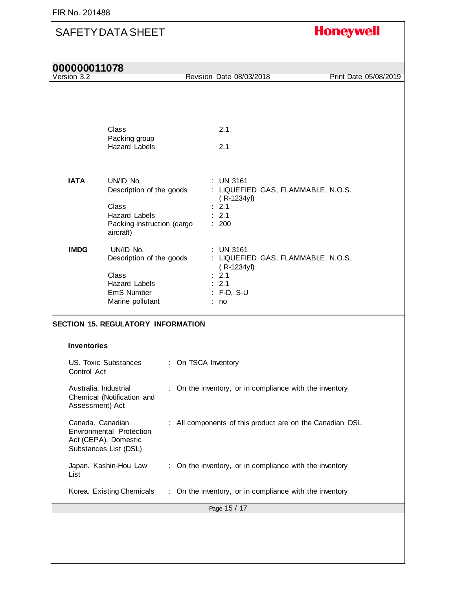| 000000011078 |  |
|--------------|--|
|--------------|--|

| Version 3.2                              |                                                                                                                   |    | Revision Date 08/03/2018                                                                                  | Print Date 05/08/2019 |
|------------------------------------------|-------------------------------------------------------------------------------------------------------------------|----|-----------------------------------------------------------------------------------------------------------|-----------------------|
|                                          |                                                                                                                   |    |                                                                                                           |                       |
|                                          | Class<br>Packing group<br><b>Hazard Labels</b>                                                                    |    | 2.1<br>2.1                                                                                                |                       |
| <b>IATA</b>                              | UN/ID No.<br>Description of the goods<br><b>Class</b><br>Hazard Labels<br>Packing instruction (cargo<br>aircraft) |    | : UN 3161<br>: LIQUEFIED GAS, FLAMMABLE, N.O.S.<br>$(R-1234yf)$<br>: 2.1<br>: 2.1<br>: 200                |                       |
| <b>IMDG</b>                              | UN/ID No.<br>Description of the goods<br><b>Class</b><br><b>Hazard Labels</b><br>EmS Number<br>Marine pollutant   |    | : UN 3161<br>: LIQUEFIED GAS, FLAMMABLE, N.O.S.<br>$(R-1234yf)$<br>: 2.1<br>: 2.1<br>$:$ F-D, S-U<br>: no |                       |
|                                          | <b>SECTION 15. REGULATORY INFORMATION</b>                                                                         |    |                                                                                                           |                       |
| <b>Inventories</b><br>Control Act        | <b>US. Toxic Substances</b>                                                                                       |    | : On TSCA Inventory                                                                                       |                       |
| Australia. Industrial<br>Assessment) Act | Chemical (Notification and                                                                                        |    | : On the inventory, or in compliance with the inventory                                                   |                       |
| Canada. Canadian                         | <b>Environmental Protection</b><br>Act (CEPA). Domestic<br>Substances List (DSL)                                  |    | : All components of this product are on the Canadian DSL                                                  |                       |
| List                                     | Japan. Kashin-Hou Law                                                                                             |    | : On the inventory, or in compliance with the inventory                                                   |                       |
|                                          | Korea. Existing Chemicals                                                                                         | ÷. | On the inventory, or in compliance with the inventory                                                     |                       |
|                                          |                                                                                                                   |    | Page 15 / 17                                                                                              |                       |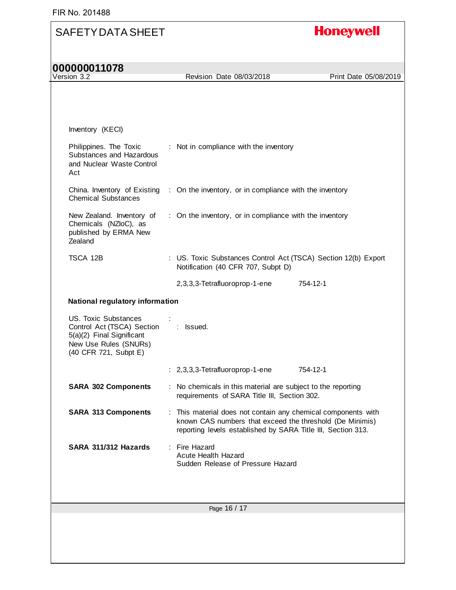| Inventory (KECI)<br>Philippines. The Toxic : Not in compliance with the inventory<br>Substances and Hazardous<br>and Nuclear Waste Control<br>Act<br>China. Inventory of Existing : On the inventory, or in compliance with the inventory<br><b>Chemical Substances</b><br>New Zealand. Inventory of : On the inventory, or in compliance with the inventory<br>Chemicals (NZloC), as<br>published by ERMA New<br>Zealand<br>TSCA 12B<br>: US. Toxic Substances Control Act (TSCA) Section 12(b) Export<br>Notification (40 CFR 707, Subpt D)<br>2,3,3,3-Tetrafluoroprop-1-ene<br>754-12-1<br>National regulatory information<br>US. Toxic Substances<br>Control Act (TSCA) Section : Issued.<br>5(a)(2) Final Significant<br>New Use Rules (SNURs)<br>(40 CFR 721, Subpt E)<br>$: 2,3,3,3$ -Tetrafluoroprop-1-ene<br>754-12-1<br><b>SARA 302 Components</b><br>: No chemicals in this material are subject to the reporting<br>requirements of SARA Title III, Section 302.<br><b>SARA 313 Components</b><br>: This material does not contain any chemical components with<br>known CAS numbers that exceed the threshold (De Minimis)<br>reporting levels established by SARA Title III, Section 313.<br>: Fire Hazard<br>SARA 311/312 Hazards<br><b>Acute Health Hazard</b><br>Sudden Release of Pressure Hazard | 000000011078<br>Version 3.2 | Revision Date 08/03/2018 | Print Date 05/08/2019 |
|---------------------------------------------------------------------------------------------------------------------------------------------------------------------------------------------------------------------------------------------------------------------------------------------------------------------------------------------------------------------------------------------------------------------------------------------------------------------------------------------------------------------------------------------------------------------------------------------------------------------------------------------------------------------------------------------------------------------------------------------------------------------------------------------------------------------------------------------------------------------------------------------------------------------------------------------------------------------------------------------------------------------------------------------------------------------------------------------------------------------------------------------------------------------------------------------------------------------------------------------------------------------------------------------------------------------|-----------------------------|--------------------------|-----------------------|
|                                                                                                                                                                                                                                                                                                                                                                                                                                                                                                                                                                                                                                                                                                                                                                                                                                                                                                                                                                                                                                                                                                                                                                                                                                                                                                                     |                             |                          |                       |
|                                                                                                                                                                                                                                                                                                                                                                                                                                                                                                                                                                                                                                                                                                                                                                                                                                                                                                                                                                                                                                                                                                                                                                                                                                                                                                                     |                             |                          |                       |
|                                                                                                                                                                                                                                                                                                                                                                                                                                                                                                                                                                                                                                                                                                                                                                                                                                                                                                                                                                                                                                                                                                                                                                                                                                                                                                                     |                             |                          |                       |
|                                                                                                                                                                                                                                                                                                                                                                                                                                                                                                                                                                                                                                                                                                                                                                                                                                                                                                                                                                                                                                                                                                                                                                                                                                                                                                                     |                             |                          |                       |
|                                                                                                                                                                                                                                                                                                                                                                                                                                                                                                                                                                                                                                                                                                                                                                                                                                                                                                                                                                                                                                                                                                                                                                                                                                                                                                                     |                             |                          |                       |
|                                                                                                                                                                                                                                                                                                                                                                                                                                                                                                                                                                                                                                                                                                                                                                                                                                                                                                                                                                                                                                                                                                                                                                                                                                                                                                                     |                             |                          |                       |
|                                                                                                                                                                                                                                                                                                                                                                                                                                                                                                                                                                                                                                                                                                                                                                                                                                                                                                                                                                                                                                                                                                                                                                                                                                                                                                                     |                             |                          |                       |
|                                                                                                                                                                                                                                                                                                                                                                                                                                                                                                                                                                                                                                                                                                                                                                                                                                                                                                                                                                                                                                                                                                                                                                                                                                                                                                                     |                             |                          |                       |
|                                                                                                                                                                                                                                                                                                                                                                                                                                                                                                                                                                                                                                                                                                                                                                                                                                                                                                                                                                                                                                                                                                                                                                                                                                                                                                                     |                             |                          |                       |
|                                                                                                                                                                                                                                                                                                                                                                                                                                                                                                                                                                                                                                                                                                                                                                                                                                                                                                                                                                                                                                                                                                                                                                                                                                                                                                                     |                             |                          |                       |
|                                                                                                                                                                                                                                                                                                                                                                                                                                                                                                                                                                                                                                                                                                                                                                                                                                                                                                                                                                                                                                                                                                                                                                                                                                                                                                                     |                             |                          |                       |
|                                                                                                                                                                                                                                                                                                                                                                                                                                                                                                                                                                                                                                                                                                                                                                                                                                                                                                                                                                                                                                                                                                                                                                                                                                                                                                                     |                             |                          |                       |
|                                                                                                                                                                                                                                                                                                                                                                                                                                                                                                                                                                                                                                                                                                                                                                                                                                                                                                                                                                                                                                                                                                                                                                                                                                                                                                                     |                             |                          |                       |
|                                                                                                                                                                                                                                                                                                                                                                                                                                                                                                                                                                                                                                                                                                                                                                                                                                                                                                                                                                                                                                                                                                                                                                                                                                                                                                                     |                             |                          |                       |
|                                                                                                                                                                                                                                                                                                                                                                                                                                                                                                                                                                                                                                                                                                                                                                                                                                                                                                                                                                                                                                                                                                                                                                                                                                                                                                                     |                             |                          |                       |
| Page 16 / 17                                                                                                                                                                                                                                                                                                                                                                                                                                                                                                                                                                                                                                                                                                                                                                                                                                                                                                                                                                                                                                                                                                                                                                                                                                                                                                        |                             |                          |                       |